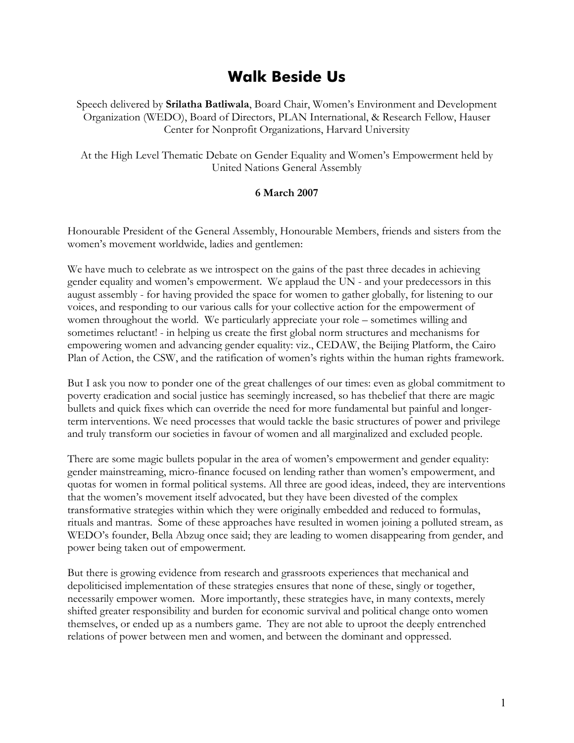## **Walk Beside Us**

Speech delivered by **Srilatha Batliwala**, Board Chair, Women's Environment and Development Organization (WEDO), Board of Directors, PLAN International, & Research Fellow, Hauser Center for Nonprofit Organizations, Harvard University

At the High Level Thematic Debate on Gender Equality and Women's Empowerment held by United Nations General Assembly

## **6 March 2007**

Honourable President of the General Assembly, Honourable Members, friends and sisters from the women's movement worldwide, ladies and gentlemen:

We have much to celebrate as we introspect on the gains of the past three decades in achieving gender equality and women's empowerment. We applaud the UN - and your predecessors in this august assembly - for having provided the space for women to gather globally, for listening to our voices, and responding to our various calls for your collective action for the empowerment of women throughout the world. We particularly appreciate your role – sometimes willing and sometimes reluctant! - in helping us create the first global norm structures and mechanisms for empowering women and advancing gender equality: viz., CEDAW, the Beijing Platform, the Cairo Plan of Action, the CSW, and the ratification of women's rights within the human rights framework.

But I ask you now to ponder one of the great challenges of our times: even as global commitment to poverty eradication and social justice has seemingly increased, so has thebelief that there are magic bullets and quick fixes which can override the need for more fundamental but painful and longerterm interventions. We need processes that would tackle the basic structures of power and privilege and truly transform our societies in favour of women and all marginalized and excluded people.

There are some magic bullets popular in the area of women's empowerment and gender equality: gender mainstreaming, micro-finance focused on lending rather than women's empowerment, and quotas for women in formal political systems. All three are good ideas, indeed, they are interventions that the women's movement itself advocated, but they have been divested of the complex transformative strategies within which they were originally embedded and reduced to formulas, rituals and mantras. Some of these approaches have resulted in women joining a polluted stream, as WEDO's founder, Bella Abzug once said; they are leading to women disappearing from gender, and power being taken out of empowerment.

But there is growing evidence from research and grassroots experiences that mechanical and depoliticised implementation of these strategies ensures that none of these, singly or together, necessarily empower women. More importantly, these strategies have, in many contexts, merely shifted greater responsibility and burden for economic survival and political change onto women themselves, or ended up as a numbers game. They are not able to uproot the deeply entrenched relations of power between men and women, and between the dominant and oppressed.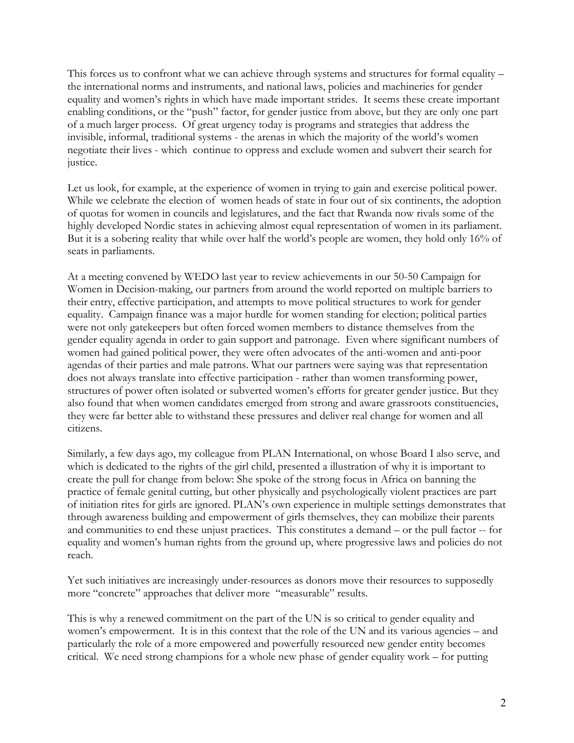This forces us to confront what we can achieve through systems and structures for formal equality – the international norms and instruments, and national laws, policies and machineries for gender equality and women's rights in which have made important strides. It seems these create important enabling conditions, or the "push" factor, for gender justice from above, but they are only one part of a much larger process. Of great urgency today is programs and strategies that address the invisible, informal, traditional systems - the arenas in which the majority of the world's women negotiate their lives - which continue to oppress and exclude women and subvert their search for justice.

Let us look, for example, at the experience of women in trying to gain and exercise political power. While we celebrate the election of women heads of state in four out of six continents, the adoption of quotas for women in councils and legislatures, and the fact that Rwanda now rivals some of the highly developed Nordic states in achieving almost equal representation of women in its parliament. But it is a sobering reality that while over half the world's people are women, they hold only 16% of seats in parliaments.

At a meeting convened by WEDO last year to review achievements in our 50-50 Campaign for Women in Decision-making, our partners from around the world reported on multiple barriers to their entry, effective participation, and attempts to move political structures to work for gender equality. Campaign finance was a major hurdle for women standing for election; political parties were not only gatekeepers but often forced women members to distance themselves from the gender equality agenda in order to gain support and patronage. Even where significant numbers of women had gained political power, they were often advocates of the anti-women and anti-poor agendas of their parties and male patrons. What our partners were saying was that representation does not always translate into effective participation - rather than women transforming power, structures of power often isolated or subverted women's efforts for greater gender justice. But they also found that when women candidates emerged from strong and aware grassroots constituencies, they were far better able to withstand these pressures and deliver real change for women and all citizens.

Similarly, a few days ago, my colleague from PLAN International, on whose Board I also serve, and which is dedicated to the rights of the girl child, presented a illustration of why it is important to create the pull for change from below: She spoke of the strong focus in Africa on banning the practice of female genital cutting, but other physically and psychologically violent practices are part of initiation rites for girls are ignored. PLAN's own experience in multiple settings demonstrates that through awareness building and empowerment of girls themselves, they can mobilize their parents and communities to end these unjust practices. This constitutes a demand – or the pull factor -- for equality and women's human rights from the ground up, where progressive laws and policies do not reach.

Yet such initiatives are increasingly under-resources as donors move their resources to supposedly more "concrete" approaches that deliver more "measurable" results.

This is why a renewed commitment on the part of the UN is so critical to gender equality and women's empowerment. It is in this context that the role of the UN and its various agencies – and particularly the role of a more empowered and powerfully resourced new gender entity becomes critical. We need strong champions for a whole new phase of gender equality work – for putting